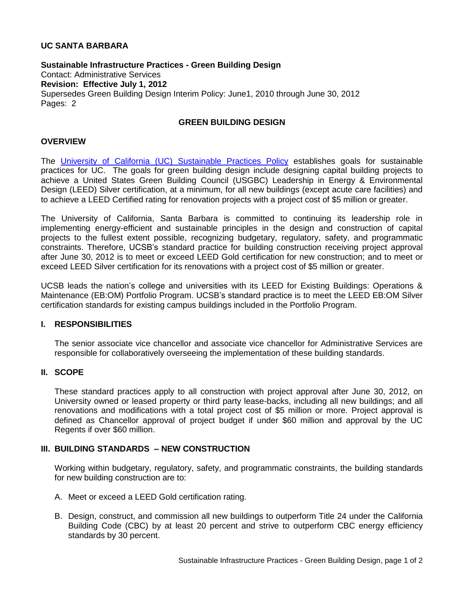## **UC SANTA BARBARA**

**Sustainable Infrastructure Practices - Green Building Design** Contact: Administrative Services **Revision: Effective July 1, 2012** Supersedes Green Building Design Interim Policy: June1, 2010 through June 30, 2012 Pages: 2

# **GREEN BUILDING DESIGN**

#### **OVERVIEW**

The [University of California \(UC\) Sustainable Practices Policy](http://www.ucop.edu/ucophome/coordrev/policy/sustainable-practices-policy.pdf) establishes goals for sustainable practices for UC. The goals for green building design include designing capital building projects to achieve a United States Green Building Council (USGBC) Leadership in Energy & Environmental Design (LEED) Silver certification, at a minimum, for all new buildings (except acute care facilities) and to achieve a LEED Certified rating for renovation projects with a project cost of \$5 million or greater.

The University of California, Santa Barbara is committed to continuing its leadership role in implementing energy-efficient and sustainable principles in the design and construction of capital projects to the fullest extent possible, recognizing budgetary, regulatory, safety, and programmatic constraints. Therefore, UCSB's standard practice for building construction receiving project approval after June 30, 2012 is to meet or exceed LEED Gold certification for new construction; and to meet or exceed LEED Silver certification for its renovations with a project cost of \$5 million or greater.

UCSB leads the nation's college and universities with its LEED for Existing Buildings: Operations & Maintenance (EB:OM) Portfolio Program. UCSB's standard practice is to meet the LEED EB:OM Silver certification standards for existing campus buildings included in the Portfolio Program.

#### **I. RESPONSIBILITIES**

The senior associate vice chancellor and associate vice chancellor for Administrative Services are responsible for collaboratively overseeing the implementation of these building standards.

#### **II. SCOPE**

These standard practices apply to all construction with project approval after June 30, 2012, on University owned or leased property or third party lease-backs, including all new buildings; and all renovations and modifications with a total project cost of \$5 million or more. Project approval is defined as Chancellor approval of project budget if under \$60 million and approval by the UC Regents if over \$60 million.

#### **III. BUILDING STANDARDS – NEW CONSTRUCTION**

Working within budgetary, regulatory, safety, and programmatic constraints, the building standards for new building construction are to:

- A. Meet or exceed a LEED Gold certification rating.
- B. Design, construct, and commission all new buildings to outperform Title 24 under the California Building Code (CBC) by at least 20 percent and strive to outperform CBC energy efficiency standards by 30 percent.